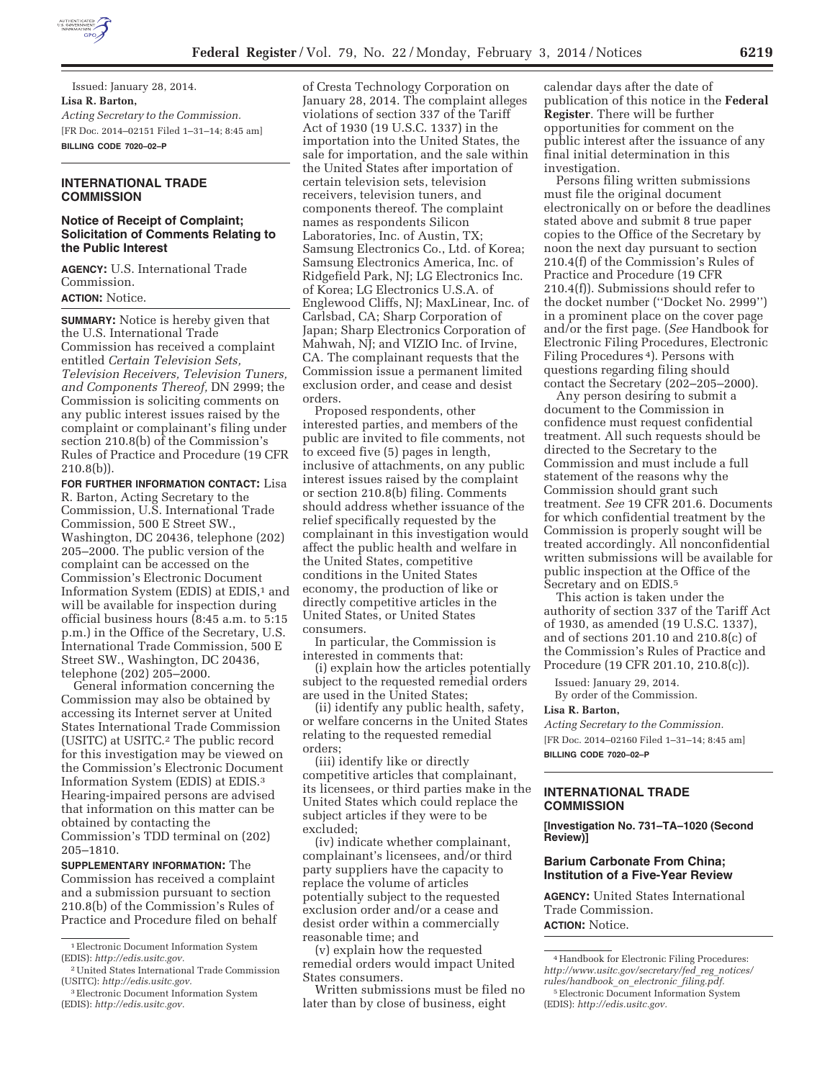

Issued: January 28, 2014. **Lisa R. Barton,**  *Acting Secretary to the Commission.*  [FR Doc. 2014–02151 Filed 1–31–14; 8:45 am] **BILLING CODE 7020–02–P** 

## **INTERNATIONAL TRADE COMMISSION**

# **Notice of Receipt of Complaint; Solicitation of Comments Relating to the Public Interest**

**AGENCY:** U.S. International Trade Commission. **ACTION:** Notice.

**SUMMARY:** Notice is hereby given that the U.S. International Trade Commission has received a complaint entitled *Certain Television Sets, Television Receivers, Television Tuners, and Components Thereof,* DN 2999; the Commission is soliciting comments on any public interest issues raised by the complaint or complainant's filing under section 210.8(b) of the Commission's Rules of Practice and Procedure (19 CFR 210.8(b)).

**FOR FURTHER INFORMATION CONTACT:** Lisa R. Barton, Acting Secretary to the Commission, U.S. International Trade Commission, 500 E Street SW., Washington, DC 20436, telephone (202) 205–2000. The public version of the complaint can be accessed on the Commission's Electronic Document Information System (EDIS) at EDIS,<sup>1</sup> and will be available for inspection during official business hours (8:45 a.m. to 5:15 p.m.) in the Office of the Secretary, U.S. International Trade Commission, 500 E Street SW., Washington, DC 20436, telephone (202) 205–2000.

General information concerning the Commission may also be obtained by accessing its Internet server at United States International Trade Commission (USITC) at USITC.2 The public record for this investigation may be viewed on the Commission's Electronic Document Information System (EDIS) at EDIS.3 Hearing-impaired persons are advised that information on this matter can be obtained by contacting the

Commission's TDD terminal on (202) 205–1810.

**SUPPLEMENTARY INFORMATION:** The Commission has received a complaint and a submission pursuant to section 210.8(b) of the Commission's Rules of Practice and Procedure filed on behalf

of Cresta Technology Corporation on January 28, 2014. The complaint alleges violations of section 337 of the Tariff Act of 1930 (19 U.S.C. 1337) in the importation into the United States, the sale for importation, and the sale within the United States after importation of certain television sets, television receivers, television tuners, and components thereof. The complaint names as respondents Silicon Laboratories, Inc. of Austin, TX; Samsung Electronics Co., Ltd. of Korea; Samsung Electronics America, Inc. of Ridgefield Park, NJ; LG Electronics Inc. of Korea; LG Electronics U.S.A. of Englewood Cliffs, NJ; MaxLinear, Inc. of Carlsbad, CA; Sharp Corporation of Japan; Sharp Electronics Corporation of Mahwah, NJ; and VIZIO Inc. of Irvine, CA. The complainant requests that the Commission issue a permanent limited exclusion order, and cease and desist orders.

Proposed respondents, other interested parties, and members of the public are invited to file comments, not to exceed five (5) pages in length, inclusive of attachments, on any public interest issues raised by the complaint or section 210.8(b) filing. Comments should address whether issuance of the relief specifically requested by the complainant in this investigation would affect the public health and welfare in the United States, competitive conditions in the United States economy, the production of like or directly competitive articles in the United States, or United States consumers.

In particular, the Commission is interested in comments that:

(i) explain how the articles potentially subject to the requested remedial orders are used in the United States;

(ii) identify any public health, safety, or welfare concerns in the United States relating to the requested remedial orders;

(iii) identify like or directly competitive articles that complainant, its licensees, or third parties make in the United States which could replace the subject articles if they were to be excluded;

(iv) indicate whether complainant, complainant's licensees, and/or third party suppliers have the capacity to replace the volume of articles potentially subject to the requested exclusion order and/or a cease and desist order within a commercially reasonable time; and

(v) explain how the requested remedial orders would impact United States consumers.

Written submissions must be filed no later than by close of business, eight

calendar days after the date of publication of this notice in the **Federal Register**. There will be further opportunities for comment on the public interest after the issuance of any final initial determination in this investigation.

Persons filing written submissions must file the original document electronically on or before the deadlines stated above and submit 8 true paper copies to the Office of the Secretary by noon the next day pursuant to section 210.4(f) of the Commission's Rules of Practice and Procedure (19 CFR 210.4(f)). Submissions should refer to the docket number (''Docket No. 2999'') in a prominent place on the cover page and/or the first page. (*See* Handbook for Electronic Filing Procedures, Electronic Filing Procedures 4). Persons with questions regarding filing should contact the Secretary (202–205–2000).

Any person desiring to submit a document to the Commission in confidence must request confidential treatment. All such requests should be directed to the Secretary to the Commission and must include a full statement of the reasons why the Commission should grant such treatment. *See* 19 CFR 201.6. Documents for which confidential treatment by the Commission is properly sought will be treated accordingly. All nonconfidential written submissions will be available for public inspection at the Office of the Secretary and on EDIS.5

This action is taken under the authority of section 337 of the Tariff Act of 1930, as amended (19 U.S.C. 1337), and of sections 201.10 and 210.8(c) of the Commission's Rules of Practice and Procedure (19 CFR 201.10, 210.8(c)).

Issued: January 29, 2014. By order of the Commission.

#### **Lisa R. Barton,**

*Acting Secretary to the Commission.*  [FR Doc. 2014–02160 Filed 1–31–14; 8:45 am] **BILLING CODE 7020–02–P** 

#### **INTERNATIONAL TRADE COMMISSION**

**[Investigation No. 731–TA–1020 (Second Review)]** 

# **Barium Carbonate From China; Institution of a Five-Year Review**

**AGENCY:** United States International Trade Commission. **ACTION:** Notice.

4Handbook for Electronic Filing Procedures: *http://www.usitc.gov/secretary/fed*\_*reg*\_*notices/ rules/handbook*\_*on*\_*electronic*\_*filing.pdf.* 

<sup>&</sup>lt;sup>1</sup> Electronic Document Information System (EDIS): *http://edis.usitc.gov.* 

<sup>2</sup>United States International Trade Commission (USITC): *http://edis.usitc.gov.* 

<sup>3</sup>Electronic Document Information System (EDIS): *http://edis.usitc.gov.* 

<sup>5</sup>Electronic Document Information System (EDIS): *http://edis.usitc.gov.*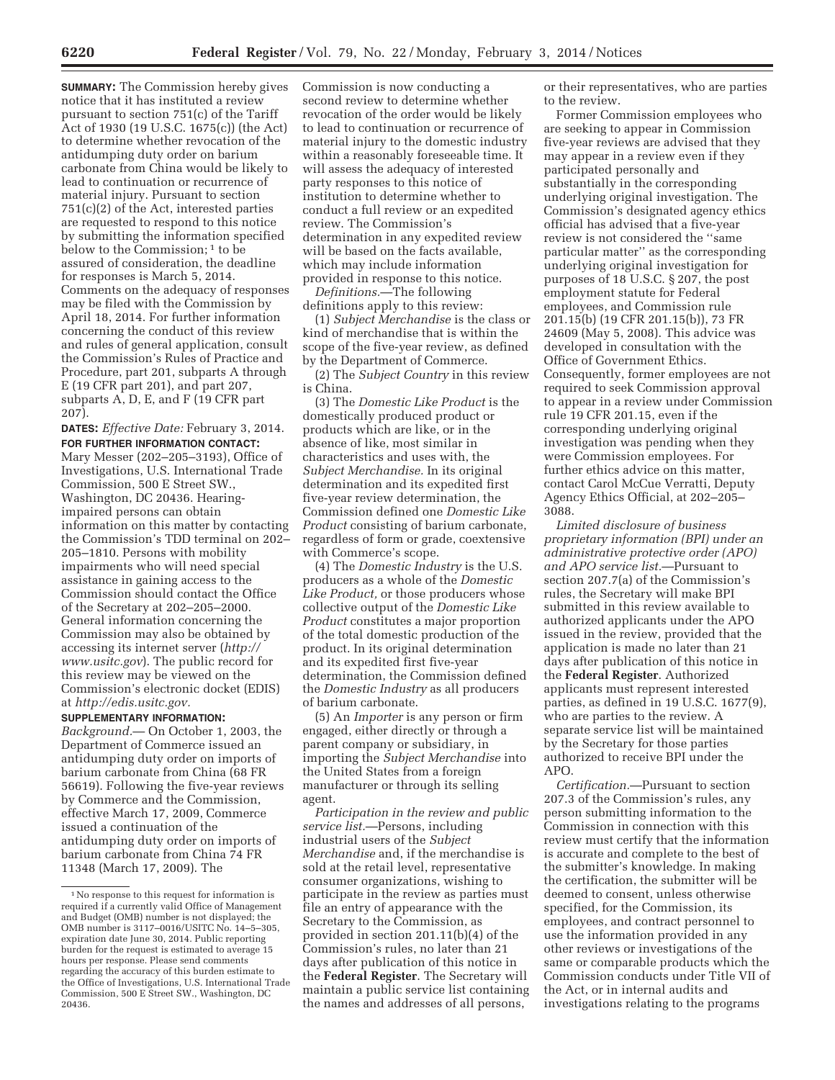**SUMMARY:** The Commission hereby gives notice that it has instituted a review pursuant to section 751(c) of the Tariff Act of 1930 (19 U.S.C. 1675(c)) (the Act) to determine whether revocation of the antidumping duty order on barium carbonate from China would be likely to lead to continuation or recurrence of material injury. Pursuant to section 751(c)(2) of the Act, interested parties are requested to respond to this notice by submitting the information specified below to the Commission;<sup>1</sup> to be assured of consideration, the deadline for responses is March 5, 2014. Comments on the adequacy of responses may be filed with the Commission by April 18, 2014. For further information concerning the conduct of this review and rules of general application, consult the Commission's Rules of Practice and Procedure, part 201, subparts A through E (19 CFR part 201), and part 207, subparts A, D, E, and F (19 CFR part 207).

**DATES:** *Effective Date:* February 3, 2014. **FOR FURTHER INFORMATION CONTACT:**  Mary Messer (202–205–3193), Office of Investigations, U.S. International Trade Commission, 500 E Street SW., Washington, DC 20436. Hearingimpaired persons can obtain information on this matter by contacting the Commission's TDD terminal on 202– 205–1810. Persons with mobility impairments who will need special assistance in gaining access to the Commission should contact the Office of the Secretary at 202–205–2000. General information concerning the Commission may also be obtained by accessing its internet server (*http:// www.usitc.gov*). The public record for this review may be viewed on the Commission's electronic docket (EDIS) at *http://edis.usitc.gov.* 

**SUPPLEMENTARY INFORMATION:**  *Background.*— On October 1, 2003, the Department of Commerce issued an antidumping duty order on imports of barium carbonate from China (68 FR 56619). Following the five-year reviews by Commerce and the Commission, effective March 17, 2009, Commerce issued a continuation of the antidumping duty order on imports of barium carbonate from China 74 FR 11348 (March 17, 2009). The

Commission is now conducting a second review to determine whether revocation of the order would be likely to lead to continuation or recurrence of material injury to the domestic industry within a reasonably foreseeable time. It will assess the adequacy of interested party responses to this notice of institution to determine whether to conduct a full review or an expedited review. The Commission's determination in any expedited review will be based on the facts available, which may include information provided in response to this notice.

*Definitions.*—The following definitions apply to this review:

(1) *Subject Merchandise* is the class or kind of merchandise that is within the scope of the five-year review, as defined by the Department of Commerce.

(2) The *Subject Country* in this review is China.

(3) The *Domestic Like Product* is the domestically produced product or products which are like, or in the absence of like, most similar in characteristics and uses with, the *Subject Merchandise.* In its original determination and its expedited first five-year review determination, the Commission defined one *Domestic Like Product* consisting of barium carbonate, regardless of form or grade, coextensive with Commerce's scope.

(4) The *Domestic Industry* is the U.S. producers as a whole of the *Domestic Like Product,* or those producers whose collective output of the *Domestic Like Product* constitutes a major proportion of the total domestic production of the product. In its original determination and its expedited first five-year determination, the Commission defined the *Domestic Industry* as all producers of barium carbonate.

(5) An *Importer* is any person or firm engaged, either directly or through a parent company or subsidiary, in importing the *Subject Merchandise* into the United States from a foreign manufacturer or through its selling agent.

*Participation in the review and public service list.*—Persons, including industrial users of the *Subject Merchandise* and, if the merchandise is sold at the retail level, representative consumer organizations, wishing to participate in the review as parties must file an entry of appearance with the Secretary to the Commission, as provided in section 201.11(b)(4) of the Commission's rules, no later than 21 days after publication of this notice in the **Federal Register**. The Secretary will maintain a public service list containing the names and addresses of all persons,

or their representatives, who are parties to the review.

Former Commission employees who are seeking to appear in Commission five-year reviews are advised that they may appear in a review even if they participated personally and substantially in the corresponding underlying original investigation. The Commission's designated agency ethics official has advised that a five-year review is not considered the ''same particular matter'' as the corresponding underlying original investigation for purposes of 18 U.S.C. § 207, the post employment statute for Federal employees, and Commission rule 201.15(b) (19 CFR 201.15(b)), 73 FR 24609 (May 5, 2008). This advice was developed in consultation with the Office of Government Ethics. Consequently, former employees are not required to seek Commission approval to appear in a review under Commission rule 19 CFR 201.15, even if the corresponding underlying original investigation was pending when they were Commission employees. For further ethics advice on this matter, contact Carol McCue Verratti, Deputy Agency Ethics Official, at 202–205– 3088.

*Limited disclosure of business proprietary information (BPI) under an administrative protective order (APO) and APO service list.*—Pursuant to section 207.7(a) of the Commission's rules, the Secretary will make BPI submitted in this review available to authorized applicants under the APO issued in the review, provided that the application is made no later than 21 days after publication of this notice in the **Federal Register**. Authorized applicants must represent interested parties, as defined in 19 U.S.C. 1677(9), who are parties to the review. A separate service list will be maintained by the Secretary for those parties authorized to receive BPI under the APO.

*Certification.*—Pursuant to section 207.3 of the Commission's rules, any person submitting information to the Commission in connection with this review must certify that the information is accurate and complete to the best of the submitter's knowledge. In making the certification, the submitter will be deemed to consent, unless otherwise specified, for the Commission, its employees, and contract personnel to use the information provided in any other reviews or investigations of the same or comparable products which the Commission conducts under Title VII of the Act, or in internal audits and investigations relating to the programs

<sup>1</sup>No response to this request for information is required if a currently valid Office of Management and Budget (OMB) number is not displayed; the OMB number is 3117–0016/USITC No. 14–5–305, expiration date June 30, 2014. Public reporting burden for the request is estimated to average 15 hours per response. Please send comments regarding the accuracy of this burden estimate to the Office of Investigations, U.S. International Trade Commission, 500 E Street SW., Washington, DC 20436.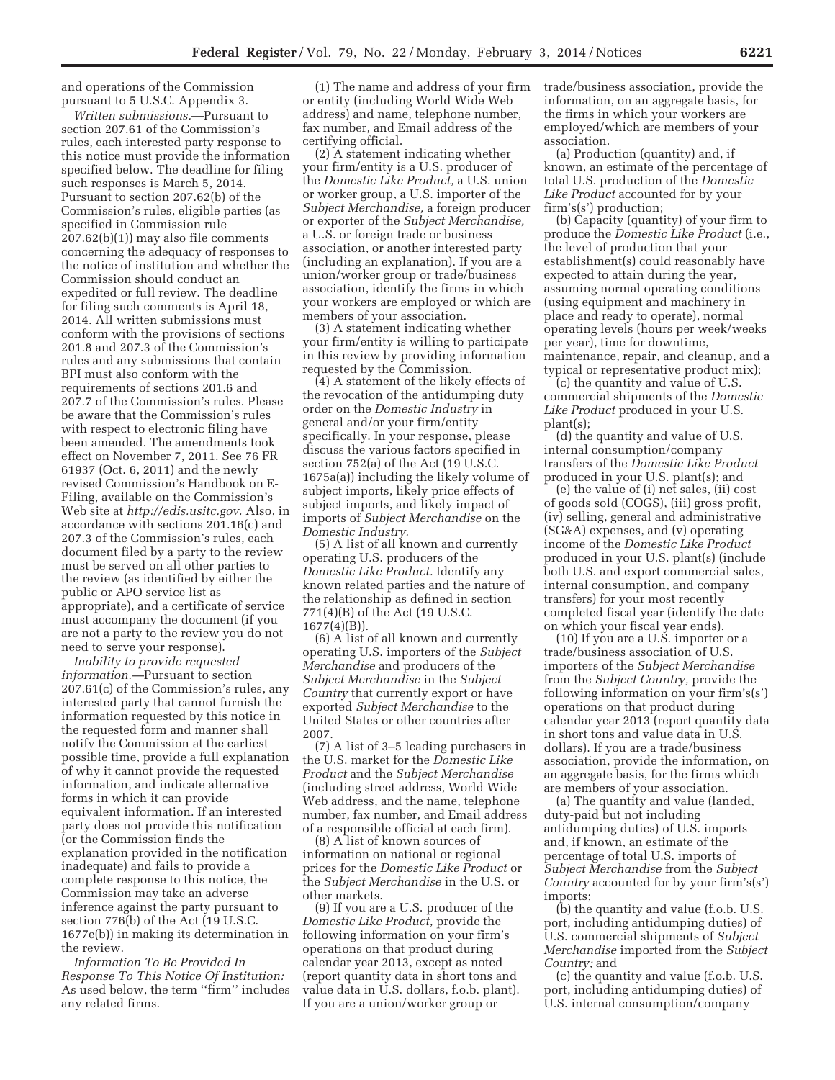and operations of the Commission pursuant to 5 U.S.C. Appendix 3.

*Written submissions.*—Pursuant to section 207.61 of the Commission's rules, each interested party response to this notice must provide the information specified below. The deadline for filing such responses is March 5, 2014. Pursuant to section 207.62(b) of the Commission's rules, eligible parties (as specified in Commission rule 207.62(b)(1)) may also file comments concerning the adequacy of responses to the notice of institution and whether the Commission should conduct an expedited or full review. The deadline for filing such comments is April 18, 2014. All written submissions must conform with the provisions of sections 201.8 and 207.3 of the Commission's rules and any submissions that contain BPI must also conform with the requirements of sections 201.6 and 207.7 of the Commission's rules. Please be aware that the Commission's rules with respect to electronic filing have been amended. The amendments took effect on November 7, 2011. See 76 FR 61937 (Oct. 6, 2011) and the newly revised Commission's Handbook on E-Filing, available on the Commission's Web site at *http://edis.usitc.gov.* Also, in accordance with sections 201.16(c) and 207.3 of the Commission's rules, each document filed by a party to the review must be served on all other parties to the review (as identified by either the public or APO service list as appropriate), and a certificate of service must accompany the document (if you are not a party to the review you do not need to serve your response).

*Inability to provide requested information.*—Pursuant to section 207.61(c) of the Commission's rules, any interested party that cannot furnish the information requested by this notice in the requested form and manner shall notify the Commission at the earliest possible time, provide a full explanation of why it cannot provide the requested information, and indicate alternative forms in which it can provide equivalent information. If an interested party does not provide this notification (or the Commission finds the explanation provided in the notification inadequate) and fails to provide a complete response to this notice, the Commission may take an adverse inference against the party pursuant to section 776(b) of the Act (19 U.S.C. 1677e(b)) in making its determination in the review.

*Information To Be Provided In Response To This Notice Of Institution:*  As used below, the term ''firm'' includes any related firms.

(1) The name and address of your firm or entity (including World Wide Web address) and name, telephone number, fax number, and Email address of the certifying official.

(2) A statement indicating whether your firm/entity is a U.S. producer of the *Domestic Like Product,* a U.S. union or worker group, a U.S. importer of the *Subject Merchandise,* a foreign producer or exporter of the *Subject Merchandise,*  a U.S. or foreign trade or business association, or another interested party (including an explanation). If you are a union/worker group or trade/business association, identify the firms in which your workers are employed or which are members of your association.

(3) A statement indicating whether your firm/entity is willing to participate in this review by providing information requested by the Commission.

(4) A statement of the likely effects of the revocation of the antidumping duty order on the *Domestic Industry* in general and/or your firm/entity specifically. In your response, please discuss the various factors specified in section 752(a) of the Act (19 U.S.C. 1675a(a)) including the likely volume of subject imports, likely price effects of subject imports, and likely impact of imports of *Subject Merchandise* on the *Domestic Industry.* 

(5) A list of all known and currently operating U.S. producers of the *Domestic Like Product.* Identify any known related parties and the nature of the relationship as defined in section 771(4)(B) of the Act (19 U.S.C.  $1677(4)(B)$ ).

(6) A list of all known and currently operating U.S. importers of the *Subject Merchandise* and producers of the *Subject Merchandise* in the *Subject Country* that currently export or have exported *Subject Merchandise* to the United States or other countries after 2007.

(7) A list of 3–5 leading purchasers in the U.S. market for the *Domestic Like Product* and the *Subject Merchandise*  (including street address, World Wide Web address, and the name, telephone number, fax number, and Email address of a responsible official at each firm).

(8) A list of known sources of information on national or regional prices for the *Domestic Like Product* or the *Subject Merchandise* in the U.S. or other markets.

(9) If you are a U.S. producer of the *Domestic Like Product,* provide the following information on your firm's operations on that product during calendar year 2013, except as noted (report quantity data in short tons and value data in U.S. dollars, f.o.b. plant). If you are a union/worker group or

trade/business association, provide the information, on an aggregate basis, for the firms in which your workers are employed/which are members of your association.

(a) Production (quantity) and, if known, an estimate of the percentage of total U.S. production of the *Domestic Like Product* accounted for by your firm's(s') production;

(b) Capacity (quantity) of your firm to produce the *Domestic Like Product* (i.e., the level of production that your establishment(s) could reasonably have expected to attain during the year, assuming normal operating conditions (using equipment and machinery in place and ready to operate), normal operating levels (hours per week/weeks per year), time for downtime, maintenance, repair, and cleanup, and a typical or representative product mix);

(c) the quantity and value of U.S. commercial shipments of the *Domestic Like Product* produced in your U.S. plant(s);

(d) the quantity and value of U.S. internal consumption/company transfers of the *Domestic Like Product*  produced in your U.S. plant(s); and

(e) the value of (i) net sales, (ii) cost of goods sold (COGS), (iii) gross profit, (iv) selling, general and administrative (SG&A) expenses, and (v) operating income of the *Domestic Like Product*  produced in your U.S. plant(s) (include both U.S. and export commercial sales, internal consumption, and company transfers) for your most recently completed fiscal year (identify the date on which your fiscal year ends).

(10) If you are a U.S. importer or a trade/business association of U.S. importers of the *Subject Merchandise*  from the *Subject Country,* provide the following information on your firm's(s') operations on that product during calendar year 2013 (report quantity data in short tons and value data in U.S. dollars). If you are a trade/business association, provide the information, on an aggregate basis, for the firms which are members of your association.

(a) The quantity and value (landed, duty-paid but not including antidumping duties) of U.S. imports and, if known, an estimate of the percentage of total U.S. imports of *Subject Merchandise* from the *Subject Country* accounted for by your firm's(s') imports;

(b) the quantity and value (f.o.b. U.S. port, including antidumping duties) of U.S. commercial shipments of *Subject Merchandise* imported from the *Subject Country;* and

(c) the quantity and value (f.o.b. U.S. port, including antidumping duties) of U.S. internal consumption/company